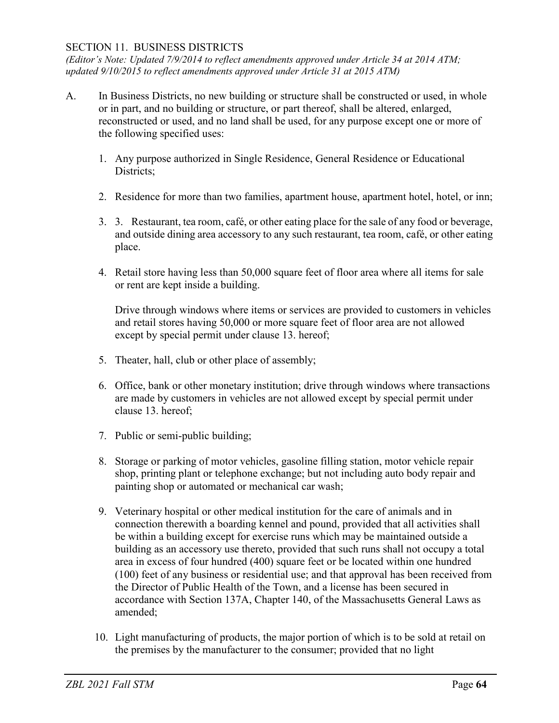## SECTION 11. BUSINESS DISTRICTS

*(Editor's Note: Updated 7/9/2014 to reflect amendments approved under Article 34 at 2014 ATM; updated 9/10/2015 to reflect amendments approved under Article 31 at 2015 ATM)*

- A. In Business Districts, no new building or structure shall be constructed or used, in whole or in part, and no building or structure, or part thereof, shall be altered, enlarged, reconstructed or used, and no land shall be used, for any purpose except one or more of the following specified uses:
	- 1. Any purpose authorized in Single Residence, General Residence or Educational Districts;
	- 2. Residence for more than two families, apartment house, apartment hotel, hotel, or inn;
	- 3. 3. Restaurant, tea room, café, or other eating place for the sale of any food or beverage, and outside dining area accessory to any such restaurant, tea room, café, or other eating place.
	- 4. Retail store having less than 50,000 square feet of floor area where all items for sale or rent are kept inside a building.

Drive through windows where items or services are provided to customers in vehicles and retail stores having 50,000 or more square feet of floor area are not allowed except by special permit under clause 13. hereof;

- 5. Theater, hall, club or other place of assembly;
- 6. Office, bank or other monetary institution; drive through windows where transactions are made by customers in vehicles are not allowed except by special permit under clause 13. hereof;
- 7. Public or semi-public building;
- 8. Storage or parking of motor vehicles, gasoline filling station, motor vehicle repair shop, printing plant or telephone exchange; but not including auto body repair and painting shop or automated or mechanical car wash;
- 9. Veterinary hospital or other medical institution for the care of animals and in connection therewith a boarding kennel and pound, provided that all activities shall be within a building except for exercise runs which may be maintained outside a building as an accessory use thereto, provided that such runs shall not occupy a total area in excess of four hundred (400) square feet or be located within one hundred (100) feet of any business or residential use; and that approval has been received from the Director of Public Health of the Town, and a license has been secured in accordance with Section 137A, Chapter 140, of the Massachusetts General Laws as amended;
- 10. Light manufacturing of products, the major portion of which is to be sold at retail on the premises by the manufacturer to the consumer; provided that no light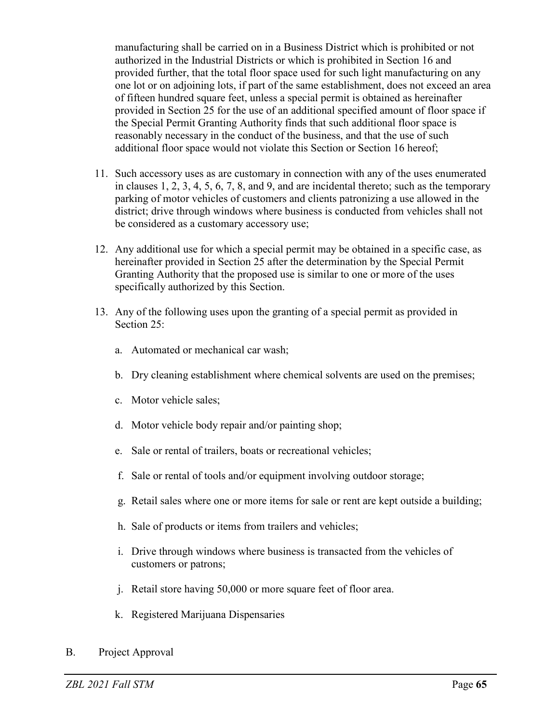manufacturing shall be carried on in a Business District which is prohibited or not authorized in the Industrial Districts or which is prohibited in Section 16 and provided further, that the total floor space used for such light manufacturing on any one lot or on adjoining lots, if part of the same establishment, does not exceed an area of fifteen hundred square feet, unless a special permit is obtained as hereinafter provided in Section 25 for the use of an additional specified amount of floor space if the Special Permit Granting Authority finds that such additional floor space is reasonably necessary in the conduct of the business, and that the use of such additional floor space would not violate this Section or Section 16 hereof;

- 11. Such accessory uses as are customary in connection with any of the uses enumerated in clauses 1, 2, 3, 4, 5, 6, 7, 8, and 9, and are incidental thereto; such as the temporary parking of motor vehicles of customers and clients patronizing a use allowed in the district; drive through windows where business is conducted from vehicles shall not be considered as a customary accessory use;
- 12. Any additional use for which a special permit may be obtained in a specific case, as hereinafter provided in Section 25 after the determination by the Special Permit Granting Authority that the proposed use is similar to one or more of the uses specifically authorized by this Section.
- 13. Any of the following uses upon the granting of a special permit as provided in Section 25:
	- a. Automated or mechanical car wash;
	- b. Dry cleaning establishment where chemical solvents are used on the premises;
	- c. Motor vehicle sales;
	- d. Motor vehicle body repair and/or painting shop;
	- e. Sale or rental of trailers, boats or recreational vehicles;
	- f. Sale or rental of tools and/or equipment involving outdoor storage;
	- g. Retail sales where one or more items for sale or rent are kept outside a building;
	- h. Sale of products or items from trailers and vehicles;
	- i. Drive through windows where business is transacted from the vehicles of customers or patrons;
	- j. Retail store having 50,000 or more square feet of floor area.
	- k. Registered Marijuana Dispensaries
- B. Project Approval